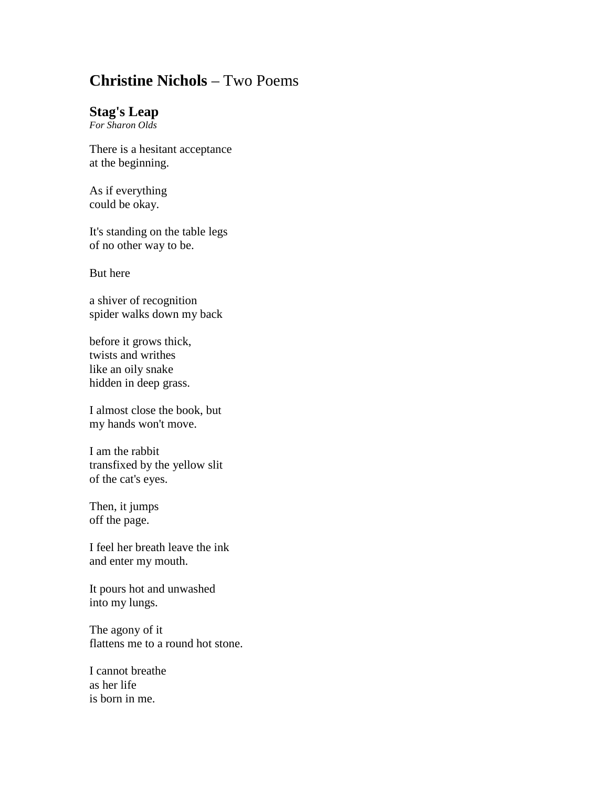## **Christine Nichols** – Two Poems

## **Stag's Leap**

*For Sharon Olds*

There is a hesitant acceptance at the beginning.

As if everything could be okay.

It's standing on the table legs of no other way to be.

But here

a shiver of recognition spider walks down my back

before it grows thick, twists and writhes like an oily snake hidden in deep grass.

I almost close the book, but my hands won't move.

I am the rabbit transfixed by the yellow slit of the cat's eyes.

Then, it jumps off the page.

I feel her breath leave the ink and enter my mouth.

It pours hot and unwashed into my lungs.

The agony of it flattens me to a round hot stone.

I cannot breathe as her life is born in me.